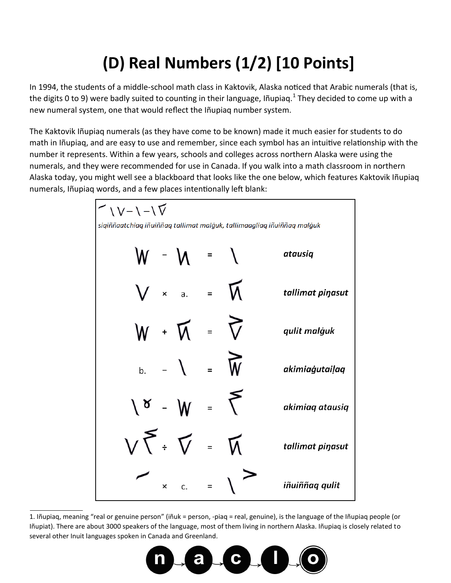## **(D) Real Numbers (1/2) [10 Points]**

In 1994, the students of a middle-school math class in Kaktovik, Alaska noticed that Arabic numerals (that is, the digits 0 to 9) were badly suited to counting in their language, Iñupiaq.<sup>1</sup> They decided to come up with a new numeral system, one that would reflect the Iñupiaq number system.

The Kaktovik Iñupiaq numerals (as they have come to be known) made it much easier for students to do math in Iñupiaq, and are easy to use and remember, since each symbol has an intuitive relationship with the number it represents. Within a few years, schools and colleges across northern Alaska were using the numerals, and they were recommended for use in Canada. If you walk into a math classroom in northern Alaska today, you might well see a blackboard that looks like the one below, which features Kaktovik Iñupiaq numerals, Iñupiaq words, and a few places intentionally left blank:



1. Iñupiaq, meaning "real or genuine person" (iñuk = person, -piaq = real, genuine), is the language of the Iñupiaq people (or Iñupiat). There are about 3000 speakers of the language, most of them living in northern Alaska. Iñupiaq is closely related to several other Inuit languages spoken in Canada and Greenland.